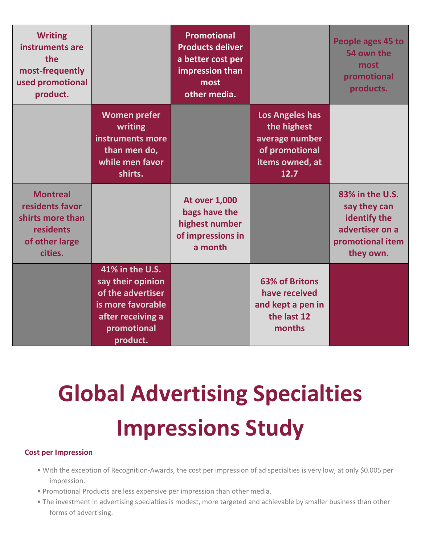| <b>Writing</b><br>instruments are<br>the<br>most-frequently<br>used promotional<br>product.      |                                                                                                                                | <b>Promotional</b><br><b>Products deliver</b><br>a better cost per<br>impression than<br>most<br>other media. |                                                                                                      | People ages 45 to<br>54 own the<br>most<br>promotional<br>products.                                 |
|--------------------------------------------------------------------------------------------------|--------------------------------------------------------------------------------------------------------------------------------|---------------------------------------------------------------------------------------------------------------|------------------------------------------------------------------------------------------------------|-----------------------------------------------------------------------------------------------------|
|                                                                                                  | <b>Women prefer</b><br>writing<br>instruments more<br>than men do,<br>while men favor<br>shirts.                               |                                                                                                               | <b>Los Angeles has</b><br>the highest<br>average number<br>of promotional<br>items owned, at<br>12.7 |                                                                                                     |
| <b>Montreal</b><br>residents favor<br>shirts more than<br>residents<br>of other large<br>cities. |                                                                                                                                | <b>At over 1,000</b><br>bags have the<br>highest number<br>of impressions in<br>a month                       |                                                                                                      | 83% in the U.S.<br>say they can<br>identify the<br>advertiser on a<br>promotional item<br>they own. |
|                                                                                                  | 41% in the U.S.<br>say their opinion<br>of the advertiser<br>is more favorable<br>after receiving a<br>promotional<br>product. |                                                                                                               | <b>63% of Britons</b><br>have received<br>and kept a pen in<br>the last 12<br>months                 |                                                                                                     |

# **Global Advertising Specialties Impressions Study**

# **Cost per Impression**

- With the exception of Recognition-Awards, the cost per impression of ad specialties is very low, at only \$0.005 per impression.
- Promotional Products are less expensive per impression than other media.
- The investment in advertising specialties is modest, more targeted and achievable by smaller business than other forms of advertising.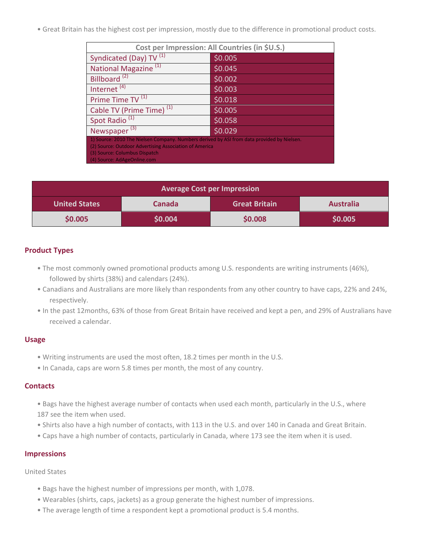• Great Britain has the highest cost per impression, mostly due to the difference in promotional product costs.

| Cost per Impression: All Countries (in \$U.S.)                                                                                                       |         |  |  |  |  |
|------------------------------------------------------------------------------------------------------------------------------------------------------|---------|--|--|--|--|
| Syndicated (Day) TV <sup>(1)</sup>                                                                                                                   | \$0.005 |  |  |  |  |
| National Magazine <sup>(1)</sup>                                                                                                                     | \$0.045 |  |  |  |  |
| Billboard <sup>(2)</sup>                                                                                                                             | \$0.002 |  |  |  |  |
| Internet $(4)$                                                                                                                                       | \$0.003 |  |  |  |  |
| Prime Time TV <sup>(1)</sup>                                                                                                                         | \$0.018 |  |  |  |  |
| Cable TV (Prime Time) <sup>(1)</sup>                                                                                                                 | \$0.005 |  |  |  |  |
| Spot Radio <sup>(1)</sup>                                                                                                                            | \$0.058 |  |  |  |  |
| Newspaper $(3)$                                                                                                                                      | \$0.029 |  |  |  |  |
| 1) Source: 2010 The Nielsen Company. Numbers derived by ASI from data provided by Nielsen.<br>(2) Source: Outdoor Advertising Association of America |         |  |  |  |  |
| (3) Source: Columbus Dispatch                                                                                                                        |         |  |  |  |  |
| (4) Source: AdAgeOnline.com                                                                                                                          |         |  |  |  |  |

| <b>Average Cost per Impression</b> |               |                      |                  |  |  |
|------------------------------------|---------------|----------------------|------------------|--|--|
| <b>United States</b>               | <b>Canada</b> | <b>Great Britain</b> | <b>Australia</b> |  |  |
| \$0.005                            | \$0.004       | \$0.008              | \$0.005          |  |  |

# **Product Types**

- The most commonly owned promotional products among U.S. respondents are writing instruments (46%), followed by shirts (38%) and calendars (24%).
- Canadians and Australians are more likely than respondents from any other country to have caps, 22% and 24%, respectively.
- In the past 12months, 63% of those from Great Britain have received and kept a pen, and 29% of Australians have received a calendar.

## **Usage**

- Writing instruments are used the most often, 18.2 times per month in the U.S.
- In Canada, caps are worn 5.8 times per month, the most of any country.

## **Contacts**

- Bags have the highest average number of contacts when used each month, particularly in the U.S., where 187 see the item when used.
- Shirts also have a high number of contacts, with 113 in the U.S. and over 140 in Canada and Great Britain.
- Caps have a high number of contacts, particularly in Canada, where 173 see the item when it is used.

## **Impressions**

United States

- Bags have the highest number of impressions per month, with 1,078.
- Wearables (shirts, caps, jackets) as a group generate the highest number of impressions.
- The average length of time a respondent kept a promotional product is 5.4 months.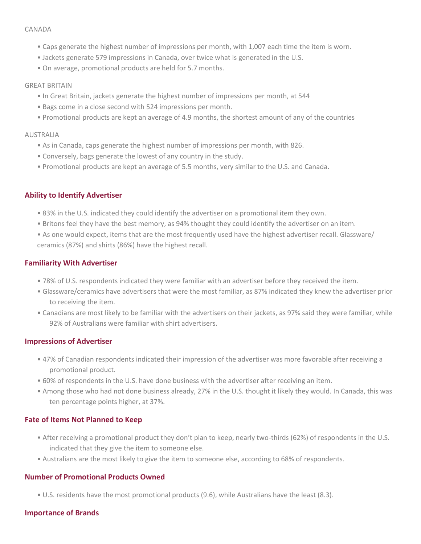#### CANADA

- Caps generate the highest number of impressions per month, with 1,007 each time the item is worn.
- Jackets generate 579 impressions in Canada, over twice what is generated in the U.S.
- On average, promotional products are held for 5.7 months.

#### GREAT BRITAIN

- In Great Britain, jackets generate the highest number of impressions per month, at 544
- Bags come in a close second with 524 impressions per month.
- Promotional products are kept an average of 4.9 months, the shortest amount of any of the countries

#### **AUSTRALIA**

- As in Canada, caps generate the highest number of impressions per month, with 826.
- Conversely, bags generate the lowest of any country in the study.
- Promotional products are kept an average of 5.5 months, very similar to the U.S. and Canada.

# **Ability to Identify Advertiser**

- 83% in the U.S. indicated they could identify the advertiser on a promotional item they own.
- Britons feel they have the best memory, as 94% thought they could identify the advertiser on an item.
- As one would expect, items that are the most frequently used have the highest advertiser recall. Glassware/ ceramics (87%) and shirts (86%) have the highest recall.

# **Familiarity With Advertiser**

- 78% of U.S. respondents indicated they were familiar with an advertiser before they received the item.
- Glassware/ceramics have advertisers that were the most familiar, as 87% indicated they knew the advertiser prior to receiving the item.
- Canadians are most likely to be familiar with the advertisers on their jackets, as 97% said they were familiar, while 92% of Australians were familiar with shirt advertisers.

## **Impressions of Advertiser**

- 47% of Canadian respondents indicated their impression of the advertiser was more favorable after receiving a promotional product.
- 60% of respondents in the U.S. have done business with the advertiser after receiving an item.
- Among those who had not done business already, 27% in the U.S. thought it likely they would. In Canada, this was ten percentage points higher, at 37%.

# **Fate of Items Not Planned to Keep**

- After receiving a promotional product they don't plan to keep, nearly two-thirds (62%) of respondents in the U.S. indicated that they give the item to someone else.
- Australians are the most likely to give the item to someone else, according to 68% of respondents.

## **Number of Promotional Products Owned**

• U.S. residents have the most promotional products (9.6), while Australians have the least (8.3).

## **Importance of Brands**